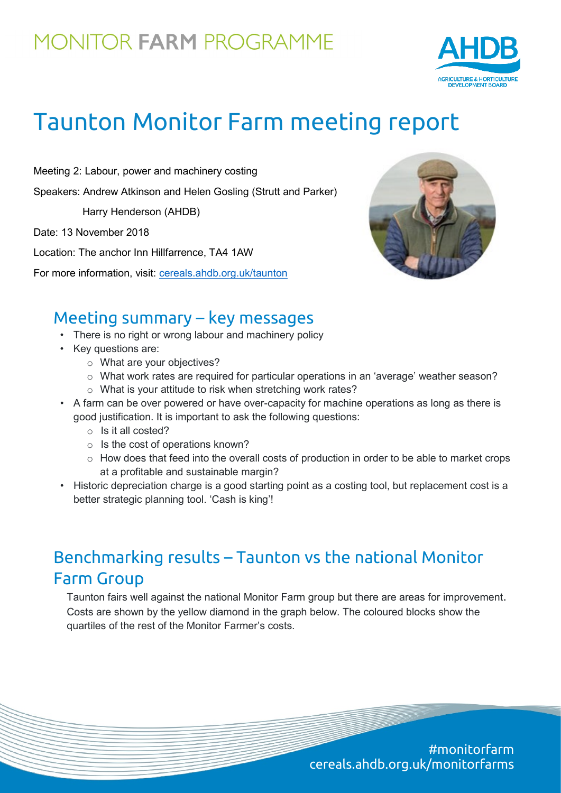## MONITOR FARM PROGRAMME



# Taunton Monitor Farm meeting report

Meeting 2: Labour, power and machinery costing Speakers: Andrew Atkinson and Helen Gosling (Strutt and Parker)

Harry Henderson (AHDB)

Date: 13 November 2018

Location: The anchor Inn Hillfarrence, TA4 1AW

For more information, visit: [cereals.ahdb.org.uk/t](https://cereals.ahdb.org.uk/get-involved/monitorfarms/saltburn-monitor-farm.aspx)aunton



#### Meeting summary – key messages

- There is no right or wrong labour and machinery policy
- Key questions are:
	- o What are your objectives?
	- o What work rates are required for particular operations in an 'average' weather season?
	- o What is your attitude to risk when stretching work rates?
- A farm can be over powered or have over-capacity for machine operations as long as there is good justification. It is important to ask the following questions:
	- o Is it all costed?
	- $\circ$  Is the cost of operations known?
	- o How does that feed into the overall costs of production in order to be able to market crops at a profitable and sustainable margin?
- Historic depreciation charge is a good starting point as a costing tool, but replacement cost is a better strategic planning tool. 'Cash is king'!

### Benchmarking results – Taunton vs the national Monitor Farm Group

Taunton fairs well against the national Monitor Farm group but there are areas for improvement. Costs are shown by the yellow diamond in the graph below. The coloured blocks show the quartiles of the rest of the Monitor Farmer's costs.

> #monitorfarm cereals.ahdb.org.uk/monitorfarms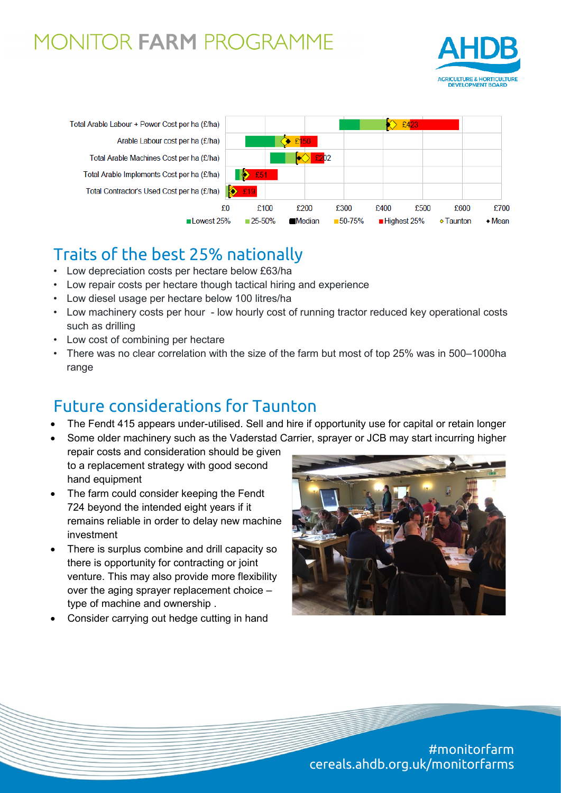### **MONITOR FARM PROGRAMME**





### Traits of the best 25% nationally

- Low depreciation costs per hectare below £63/ha
- Low repair costs per hectare though tactical hiring and experience
- Low diesel usage per hectare below 100 litres/ha
- Low machinery costs per hour low hourly cost of running tractor reduced key operational costs such as drilling
- Low cost of combining per hectare
- There was no clear correlation with the size of the farm but most of top 25% was in 500–1000ha range

#### Future considerations for Taunton

- The Fendt 415 appears under-utilised. Sell and hire if opportunity use for capital or retain longer
- Some older machinery such as the Vaderstad Carrier, sprayer or JCB may start incurring higher
- repair costs and consideration should be given to a replacement strategy with good second hand equipment
- The farm could consider keeping the Fendt 724 beyond the intended eight years if it remains reliable in order to delay new machine investment
- There is surplus combine and drill capacity so there is opportunity for contracting or joint venture. This may also provide more flexibility over the aging sprayer replacement choice – type of machine and ownership .
- Consider carrying out hedge cutting in hand



#monitorfarm cereals.ahdb.org.uk/monitorfarms